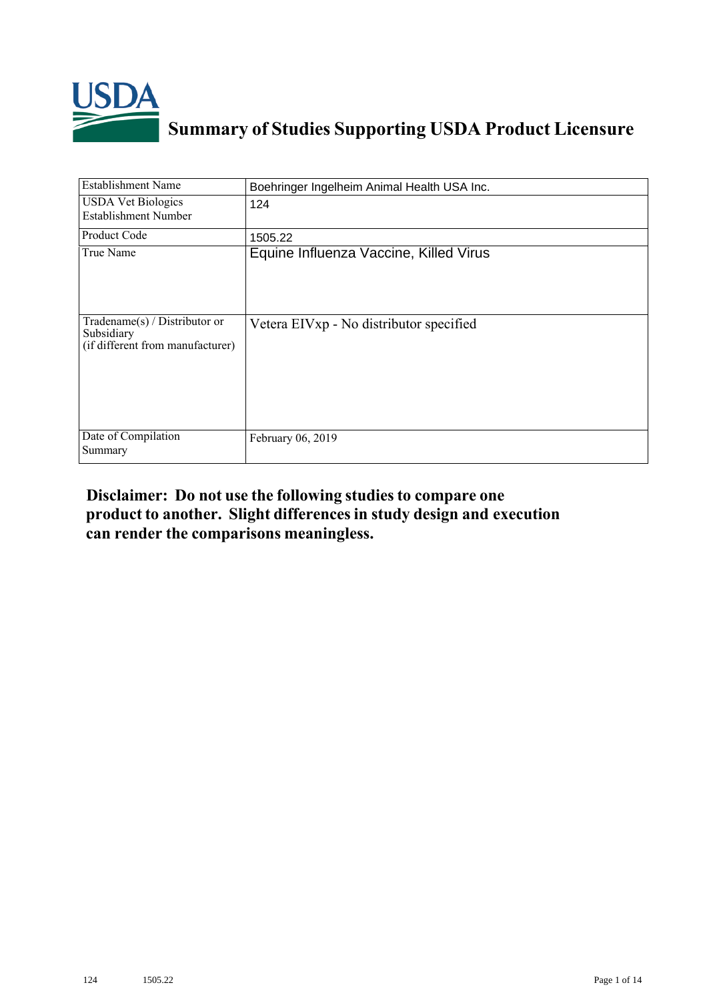

## **Summary of Studies Supporting USDA Product Licensure**

| <b>Establishment Name</b>                                                          | Boehringer Ingelheim Animal Health USA Inc. |
|------------------------------------------------------------------------------------|---------------------------------------------|
| <b>USDA Vet Biologics</b><br><b>Establishment Number</b>                           | 124                                         |
| <b>Product Code</b>                                                                | 1505.22                                     |
| True Name                                                                          | Equine Influenza Vaccine, Killed Virus      |
| Tradename $(s)$ / Distributor or<br>Subsidiary<br>(if different from manufacturer) | Vetera EIVxp - No distributor specified     |
| Date of Compilation<br>Summary                                                     | February 06, 2019                           |

## **Disclaimer: Do not use the following studiesto compare one product to another. Slight differencesin study design and execution can render the comparisons meaningless.**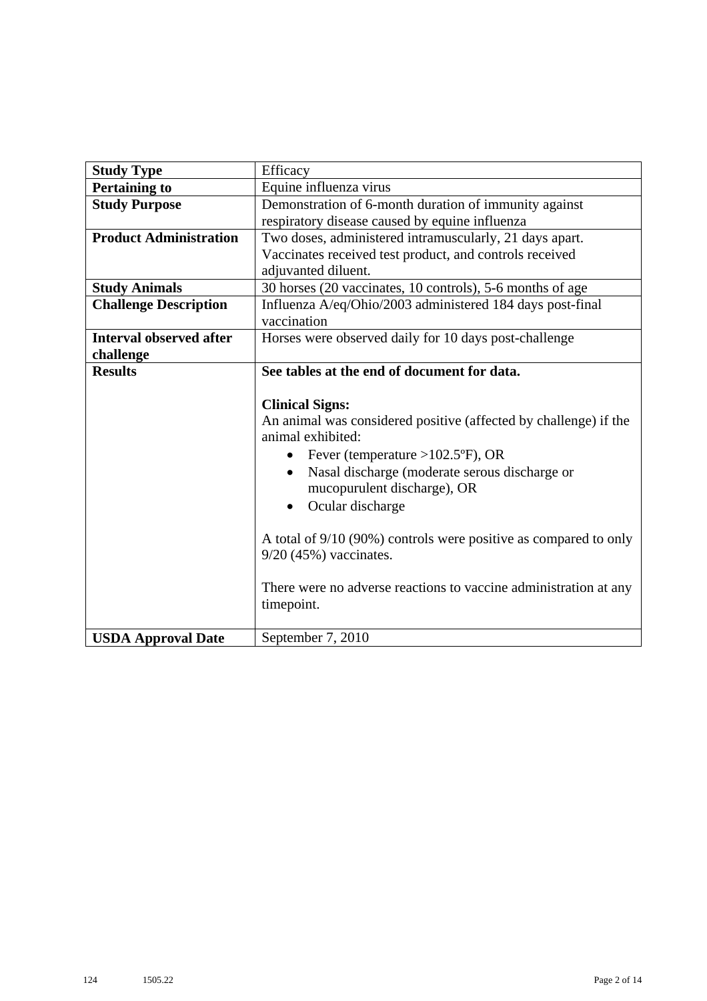| <b>Study Type</b>              | Efficacy                                                         |
|--------------------------------|------------------------------------------------------------------|
| <b>Pertaining to</b>           | Equine influenza virus                                           |
| <b>Study Purpose</b>           | Demonstration of 6-month duration of immunity against            |
|                                | respiratory disease caused by equine influenza                   |
| <b>Product Administration</b>  | Two doses, administered intramuscularly, 21 days apart.          |
|                                | Vaccinates received test product, and controls received          |
|                                | adjuvanted diluent.                                              |
| <b>Study Animals</b>           | 30 horses (20 vaccinates, 10 controls), 5-6 months of age        |
| <b>Challenge Description</b>   | Influenza A/eq/Ohio/2003 administered 184 days post-final        |
|                                | vaccination                                                      |
| <b>Interval observed after</b> | Horses were observed daily for 10 days post-challenge            |
| challenge                      |                                                                  |
| <b>Results</b>                 | See tables at the end of document for data.                      |
|                                |                                                                  |
|                                | <b>Clinical Signs:</b>                                           |
|                                | An animal was considered positive (affected by challenge) if the |
|                                | animal exhibited:                                                |
|                                | Fever (temperature > $102.5$ °F), OR<br>$\bullet$                |
|                                | Nasal discharge (moderate serous discharge or<br>$\bullet$       |
|                                | mucopurulent discharge), OR                                      |
|                                | Ocular discharge<br>$\bullet$                                    |
|                                |                                                                  |
|                                | A total of 9/10 (90%) controls were positive as compared to only |
|                                | $9/20$ (45%) vaccinates.                                         |
|                                |                                                                  |
|                                | There were no adverse reactions to vaccine administration at any |
|                                | timepoint.                                                       |
|                                |                                                                  |
| <b>USDA Approval Date</b>      | September 7, 2010                                                |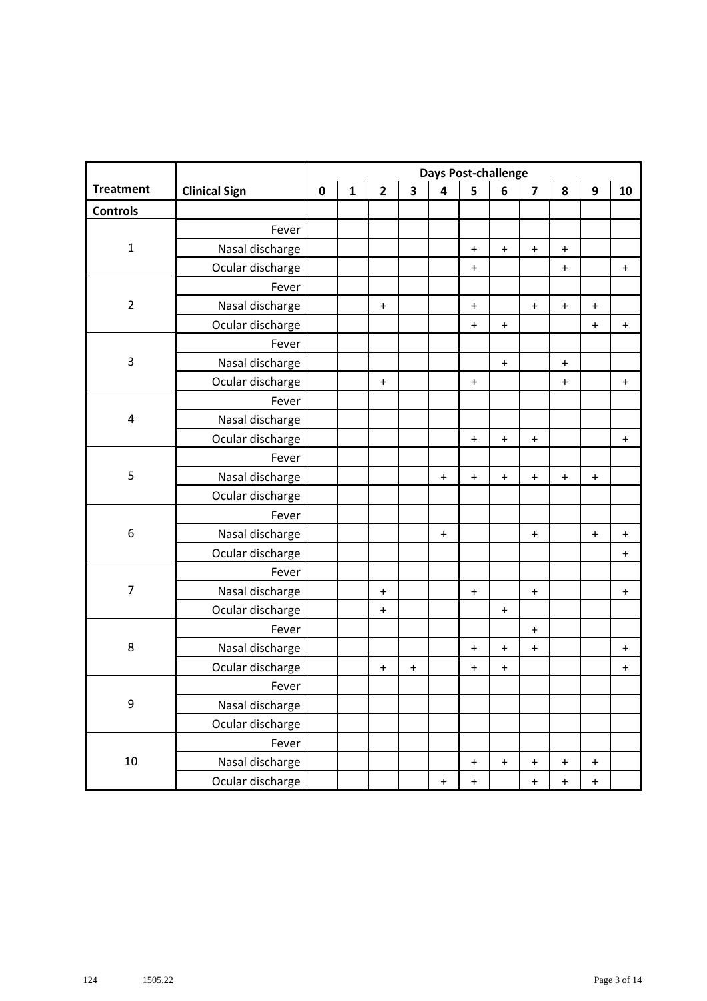|                  |                      | <b>Days Post-challenge</b> |              |                |                         |                                  |                                  |                                  |                                  |                                  |                                  |           |
|------------------|----------------------|----------------------------|--------------|----------------|-------------------------|----------------------------------|----------------------------------|----------------------------------|----------------------------------|----------------------------------|----------------------------------|-----------|
| <b>Treatment</b> | <b>Clinical Sign</b> | $\pmb{0}$                  | $\mathbf{1}$ | $\overline{2}$ | $\overline{\mathbf{3}}$ | $\overline{\mathbf{4}}$          | 5                                | 6                                | $\overline{\mathbf{z}}$          | 8                                | $\boldsymbol{9}$                 | 10        |
| <b>Controls</b>  |                      |                            |              |                |                         |                                  |                                  |                                  |                                  |                                  |                                  |           |
|                  | Fever                |                            |              |                |                         |                                  |                                  |                                  |                                  |                                  |                                  |           |
| $\mathbf 1$      | Nasal discharge      |                            |              |                |                         |                                  | $\ddot{}$                        | $\begin{array}{c} + \end{array}$ | $\bf{+}$                         | $\bf +$                          |                                  |           |
|                  | Ocular discharge     |                            |              |                |                         |                                  | $\ddot{}$                        |                                  |                                  | $\ddot{}$                        |                                  | $\ddot{}$ |
|                  | Fever                |                            |              |                |                         |                                  |                                  |                                  |                                  |                                  |                                  |           |
| $\overline{2}$   | Nasal discharge      |                            |              | $\ddot{}$      |                         |                                  | $\ddot{}$                        |                                  | $\mathbf +$                      | $\boldsymbol{+}$                 | $\ddot{}$                        |           |
|                  | Ocular discharge     |                            |              |                |                         |                                  | $\ddot{}$                        | $\begin{array}{c} + \end{array}$ |                                  |                                  | $\ddot{}$                        | $\ddot{}$ |
|                  | Fever                |                            |              |                |                         |                                  |                                  |                                  |                                  |                                  |                                  |           |
| 3                | Nasal discharge      |                            |              |                |                         |                                  |                                  | $\boldsymbol{+}$                 |                                  | $\boldsymbol{+}$                 |                                  |           |
|                  | Ocular discharge     |                            |              | $\ddot{}$      |                         |                                  | $\ddot{}$                        |                                  |                                  | $\ddot{}$                        |                                  | $\ddot{}$ |
|                  | Fever                |                            |              |                |                         |                                  |                                  |                                  |                                  |                                  |                                  |           |
| 4                | Nasal discharge      |                            |              |                |                         |                                  |                                  |                                  |                                  |                                  |                                  |           |
|                  | Ocular discharge     |                            |              |                |                         |                                  | $\ddot{}$                        | $\ddot{}$                        | $\ddot{}$                        |                                  |                                  | $\ddag$   |
|                  | Fever                |                            |              |                |                         |                                  |                                  |                                  |                                  |                                  |                                  |           |
| 5                | Nasal discharge      |                            |              |                |                         | $\ddot{}$                        | $\begin{array}{c} + \end{array}$ | $\begin{array}{c} + \end{array}$ | $\mathbf +$                      | $\ddot{}$                        | $\ddot{}$                        |           |
|                  | Ocular discharge     |                            |              |                |                         |                                  |                                  |                                  |                                  |                                  |                                  |           |
|                  | Fever                |                            |              |                |                         |                                  |                                  |                                  |                                  |                                  |                                  |           |
| 6                | Nasal discharge      |                            |              |                |                         | $\ddot{}$                        |                                  |                                  | $\begin{array}{c} + \end{array}$ |                                  | $\ddot{}$                        | $\ddot{}$ |
|                  | Ocular discharge     |                            |              |                |                         |                                  |                                  |                                  |                                  |                                  |                                  | $\ddag$   |
|                  | Fever                |                            |              |                |                         |                                  |                                  |                                  |                                  |                                  |                                  |           |
| $\overline{7}$   | Nasal discharge      |                            |              | $\ddot{}$      |                         |                                  | $\ddot{}$                        |                                  | $\ddot{}$                        |                                  |                                  | $\ddot{}$ |
|                  | Ocular discharge     |                            |              | $\ddot{}$      |                         |                                  |                                  | $\ddot{}$                        |                                  |                                  |                                  |           |
|                  | Fever                |                            |              |                |                         |                                  |                                  |                                  | $\pm$                            |                                  |                                  |           |
| $\,8\,$          | Nasal discharge      |                            |              |                |                         |                                  | $\ddot{}$                        | $\begin{array}{c} + \end{array}$ | $\ddot{}$                        |                                  |                                  | $\ddot{}$ |
|                  | Ocular discharge     |                            |              | $\pmb{+}$      | $\ddot{}$               |                                  | $\ddot{}$                        | $\begin{array}{c} + \end{array}$ |                                  |                                  |                                  | $\ddag$   |
|                  | Fever                |                            |              |                |                         |                                  |                                  |                                  |                                  |                                  |                                  |           |
| 9                | Nasal discharge      |                            |              |                |                         |                                  |                                  |                                  |                                  |                                  |                                  |           |
|                  | Ocular discharge     |                            |              |                |                         |                                  |                                  |                                  |                                  |                                  |                                  |           |
|                  | Fever                |                            |              |                |                         |                                  |                                  |                                  |                                  |                                  |                                  |           |
| 10               | Nasal discharge      |                            |              |                |                         |                                  | $\ddot{}$                        | $\begin{array}{c} + \end{array}$ | $\begin{array}{c} + \end{array}$ | $\pmb{+}$                        | $\ddot{}$                        |           |
|                  | Ocular discharge     |                            |              |                |                         | $\begin{array}{c} + \end{array}$ | $\ddot{}$                        |                                  | $\begin{array}{c} + \end{array}$ | $\begin{array}{c} + \end{array}$ | $\begin{array}{c} + \end{array}$ |           |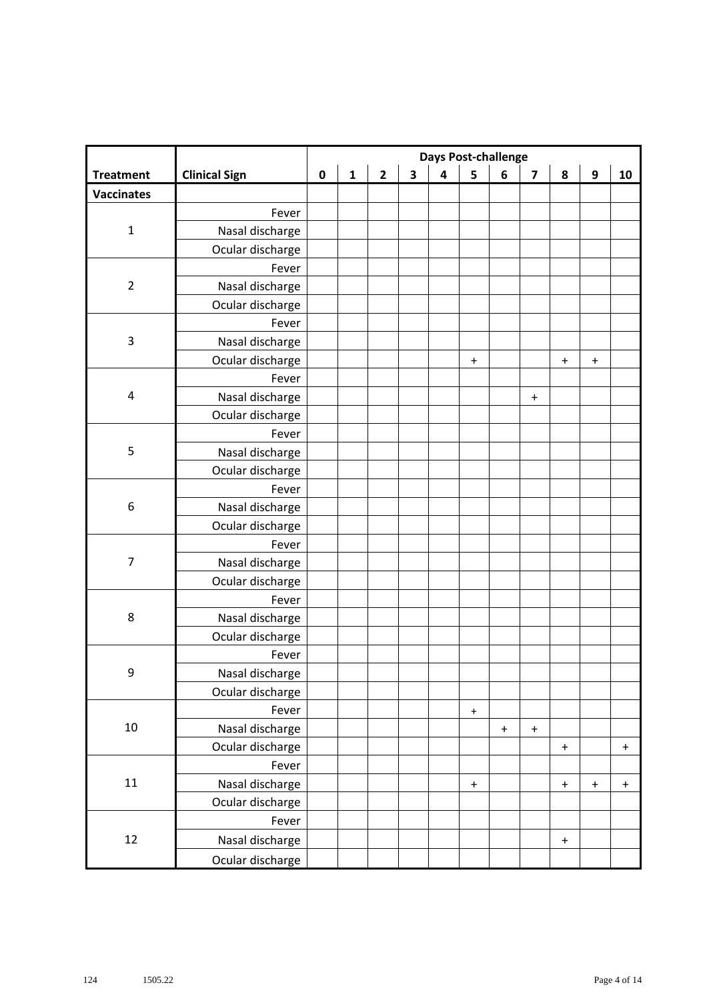|                   |                      | <b>Days Post-challenge</b> |              |                |                         |                         |                  |           |                                  |                                  |                                  |             |
|-------------------|----------------------|----------------------------|--------------|----------------|-------------------------|-------------------------|------------------|-----------|----------------------------------|----------------------------------|----------------------------------|-------------|
| <b>Treatment</b>  | <b>Clinical Sign</b> | $\pmb{0}$                  | $\mathbf{1}$ | $\overline{2}$ | $\overline{\mathbf{3}}$ | $\overline{\mathbf{4}}$ | 5                | 6         | $\overline{\mathbf{z}}$          | 8                                | 9                                | 10          |
| <b>Vaccinates</b> |                      |                            |              |                |                         |                         |                  |           |                                  |                                  |                                  |             |
|                   | Fever                |                            |              |                |                         |                         |                  |           |                                  |                                  |                                  |             |
| $\mathbf 1$       | Nasal discharge      |                            |              |                |                         |                         |                  |           |                                  |                                  |                                  |             |
|                   | Ocular discharge     |                            |              |                |                         |                         |                  |           |                                  |                                  |                                  |             |
|                   | Fever                |                            |              |                |                         |                         |                  |           |                                  |                                  |                                  |             |
| $\overline{2}$    | Nasal discharge      |                            |              |                |                         |                         |                  |           |                                  |                                  |                                  |             |
|                   | Ocular discharge     |                            |              |                |                         |                         |                  |           |                                  |                                  |                                  |             |
|                   | Fever                |                            |              |                |                         |                         |                  |           |                                  |                                  |                                  |             |
| $\mathsf 3$       | Nasal discharge      |                            |              |                |                         |                         |                  |           |                                  |                                  |                                  |             |
|                   | Ocular discharge     |                            |              |                |                         |                         | $\ddot{}$        |           |                                  | $\ddot{}$                        | $\ddot{}$                        |             |
|                   | Fever                |                            |              |                |                         |                         |                  |           |                                  |                                  |                                  |             |
| 4                 | Nasal discharge      |                            |              |                |                         |                         |                  |           | $\begin{array}{c} + \end{array}$ |                                  |                                  |             |
|                   | Ocular discharge     |                            |              |                |                         |                         |                  |           |                                  |                                  |                                  |             |
|                   | Fever                |                            |              |                |                         |                         |                  |           |                                  |                                  |                                  |             |
| $\mathsf S$       | Nasal discharge      |                            |              |                |                         |                         |                  |           |                                  |                                  |                                  |             |
|                   | Ocular discharge     |                            |              |                |                         |                         |                  |           |                                  |                                  |                                  |             |
|                   | Fever                |                            |              |                |                         |                         |                  |           |                                  |                                  |                                  |             |
| 6                 | Nasal discharge      |                            |              |                |                         |                         |                  |           |                                  |                                  |                                  |             |
|                   | Ocular discharge     |                            |              |                |                         |                         |                  |           |                                  |                                  |                                  |             |
|                   | Fever                |                            |              |                |                         |                         |                  |           |                                  |                                  |                                  |             |
| $\overline{7}$    | Nasal discharge      |                            |              |                |                         |                         |                  |           |                                  |                                  |                                  |             |
|                   | Ocular discharge     |                            |              |                |                         |                         |                  |           |                                  |                                  |                                  |             |
|                   | Fever                |                            |              |                |                         |                         |                  |           |                                  |                                  |                                  |             |
| $\,8\,$           | Nasal discharge      |                            |              |                |                         |                         |                  |           |                                  |                                  |                                  |             |
|                   | Ocular discharge     |                            |              |                |                         |                         |                  |           |                                  |                                  |                                  |             |
|                   | Fever                |                            |              |                |                         |                         |                  |           |                                  |                                  |                                  |             |
| 9                 | Nasal discharge      |                            |              |                |                         |                         |                  |           |                                  |                                  |                                  |             |
|                   | Ocular discharge     |                            |              |                |                         |                         |                  |           |                                  |                                  |                                  |             |
|                   | Fever                |                            |              |                |                         |                         | $\boldsymbol{+}$ |           |                                  |                                  |                                  |             |
| 10                | Nasal discharge      |                            |              |                |                         |                         |                  | $\ddot{}$ | $\mathbf +$                      |                                  |                                  |             |
|                   | Ocular discharge     |                            |              |                |                         |                         |                  |           |                                  | $\ddot{}$                        |                                  | $\mathbf +$ |
|                   | Fever                |                            |              |                |                         |                         |                  |           |                                  |                                  |                                  |             |
| $11\,$            | Nasal discharge      |                            |              |                |                         |                         | $\ddot{}$        |           |                                  | $\begin{array}{c} + \end{array}$ | $\begin{array}{c} + \end{array}$ | $\ddot{}$   |
|                   | Ocular discharge     |                            |              |                |                         |                         |                  |           |                                  |                                  |                                  |             |
|                   | Fever                |                            |              |                |                         |                         |                  |           |                                  |                                  |                                  |             |
| 12                | Nasal discharge      |                            |              |                |                         |                         |                  |           |                                  | $\ddot{}$                        |                                  |             |
|                   | Ocular discharge     |                            |              |                |                         |                         |                  |           |                                  |                                  |                                  |             |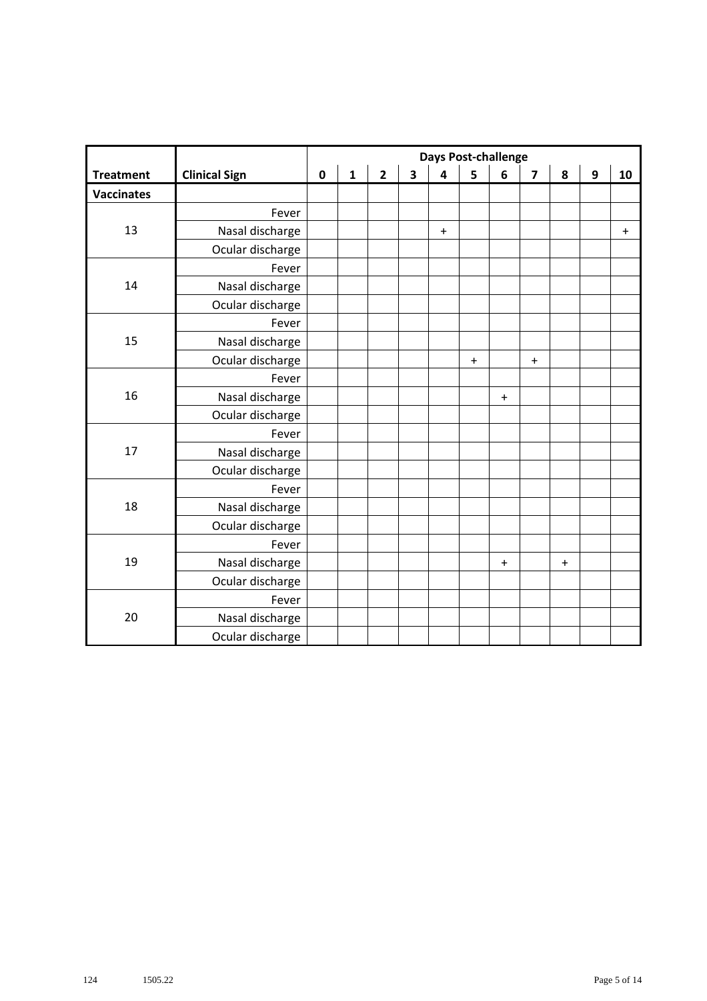|                   |                      |             |              |                |                         | <b>Days Post-challenge</b> |           |                                  |                                  |         |                  |           |
|-------------------|----------------------|-------------|--------------|----------------|-------------------------|----------------------------|-----------|----------------------------------|----------------------------------|---------|------------------|-----------|
| <b>Treatment</b>  | <b>Clinical Sign</b> | $\mathbf 0$ | $\mathbf{1}$ | $\overline{2}$ | $\overline{\mathbf{3}}$ | $\overline{\mathbf{4}}$    | 5         | 6                                | $\overline{\mathbf{z}}$          | 8       | $\boldsymbol{9}$ | 10        |
| <b>Vaccinates</b> |                      |             |              |                |                         |                            |           |                                  |                                  |         |                  |           |
|                   | Fever                |             |              |                |                         |                            |           |                                  |                                  |         |                  |           |
| 13                | Nasal discharge      |             |              |                |                         | $\boldsymbol{+}$           |           |                                  |                                  |         |                  | $\ddot{}$ |
|                   | Ocular discharge     |             |              |                |                         |                            |           |                                  |                                  |         |                  |           |
|                   | Fever                |             |              |                |                         |                            |           |                                  |                                  |         |                  |           |
| 14                | Nasal discharge      |             |              |                |                         |                            |           |                                  |                                  |         |                  |           |
|                   | Ocular discharge     |             |              |                |                         |                            |           |                                  |                                  |         |                  |           |
|                   | Fever                |             |              |                |                         |                            |           |                                  |                                  |         |                  |           |
| 15                | Nasal discharge      |             |              |                |                         |                            |           |                                  |                                  |         |                  |           |
|                   | Ocular discharge     |             |              |                |                         |                            | $\pmb{+}$ |                                  | $\begin{array}{c} + \end{array}$ |         |                  |           |
|                   | Fever                |             |              |                |                         |                            |           |                                  |                                  |         |                  |           |
| 16                | Nasal discharge      |             |              |                |                         |                            |           | $\ddot{}$                        |                                  |         |                  |           |
|                   | Ocular discharge     |             |              |                |                         |                            |           |                                  |                                  |         |                  |           |
|                   | Fever                |             |              |                |                         |                            |           |                                  |                                  |         |                  |           |
| 17                | Nasal discharge      |             |              |                |                         |                            |           |                                  |                                  |         |                  |           |
|                   | Ocular discharge     |             |              |                |                         |                            |           |                                  |                                  |         |                  |           |
|                   | Fever                |             |              |                |                         |                            |           |                                  |                                  |         |                  |           |
| 18                | Nasal discharge      |             |              |                |                         |                            |           |                                  |                                  |         |                  |           |
|                   | Ocular discharge     |             |              |                |                         |                            |           |                                  |                                  |         |                  |           |
|                   | Fever                |             |              |                |                         |                            |           |                                  |                                  |         |                  |           |
| 19                | Nasal discharge      |             |              |                |                         |                            |           | $\begin{array}{c} + \end{array}$ |                                  | $\ddag$ |                  |           |
|                   | Ocular discharge     |             |              |                |                         |                            |           |                                  |                                  |         |                  |           |
|                   | Fever                |             |              |                |                         |                            |           |                                  |                                  |         |                  |           |
| 20                | Nasal discharge      |             |              |                |                         |                            |           |                                  |                                  |         |                  |           |
|                   | Ocular discharge     |             |              |                |                         |                            |           |                                  |                                  |         |                  |           |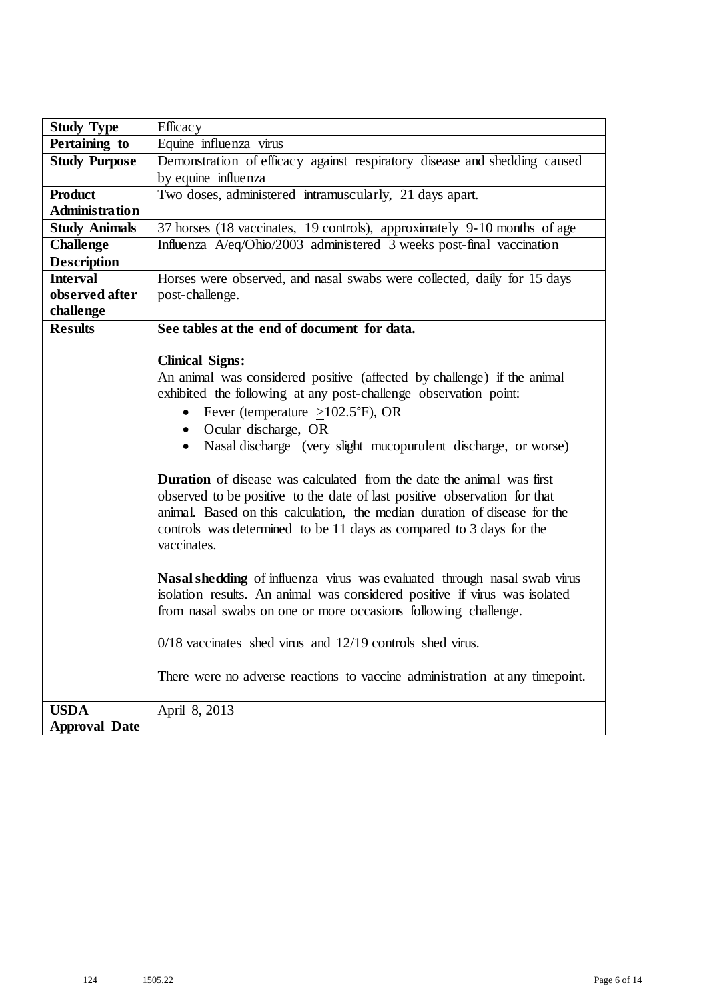| <b>Study Type</b>     | Efficacy                                                                     |
|-----------------------|------------------------------------------------------------------------------|
| Pertaining to         | Equine influenza virus                                                       |
| <b>Study Purpose</b>  | Demonstration of efficacy against respiratory disease and shedding caused    |
|                       | by equine influenza                                                          |
| <b>Product</b>        | Two doses, administered intramuscularly, 21 days apart.                      |
| <b>Administration</b> |                                                                              |
| <b>Study Animals</b>  | 37 horses (18 vaccinates, 19 controls), approximately 9-10 months of age     |
| <b>Challenge</b>      | Influenza A/eq/Ohio/2003 administered 3 weeks post-final vaccination         |
| <b>Description</b>    |                                                                              |
| <b>Interval</b>       | Horses were observed, and nasal swabs were collected, daily for 15 days      |
| observed after        | post-challenge.                                                              |
| challenge             |                                                                              |
| <b>Results</b>        | See tables at the end of document for data.                                  |
|                       |                                                                              |
|                       | <b>Clinical Signs:</b>                                                       |
|                       | An animal was considered positive (affected by challenge) if the animal      |
|                       | exhibited the following at any post-challenge observation point:             |
|                       | • Fever (temperature $\geq$ 102.5°F), OR                                     |
|                       | • Ocular discharge, OR                                                       |
|                       | • Nasal discharge (very slight mucopurulent discharge, or worse)             |
|                       | <b>Duration</b> of disease was calculated from the date the animal was first |
|                       | observed to be positive to the date of last positive observation for that    |
|                       | animal. Based on this calculation, the median duration of disease for the    |
|                       | controls was determined to be 11 days as compared to 3 days for the          |
|                       | vaccinates.                                                                  |
|                       |                                                                              |
|                       | Nasal shedding of influenza virus was evaluated through nasal swab virus     |
|                       | isolation results. An animal was considered positive if virus was isolated   |
|                       | from nasal swabs on one or more occasions following challenge.               |
|                       |                                                                              |
|                       | $0/18$ vaccinates shed virus and $12/19$ controls shed virus.                |
|                       |                                                                              |
|                       | There were no adverse reactions to vaccine administration at any timepoint.  |
| <b>USDA</b>           | April 8, 2013                                                                |
| <b>Approval Date</b>  |                                                                              |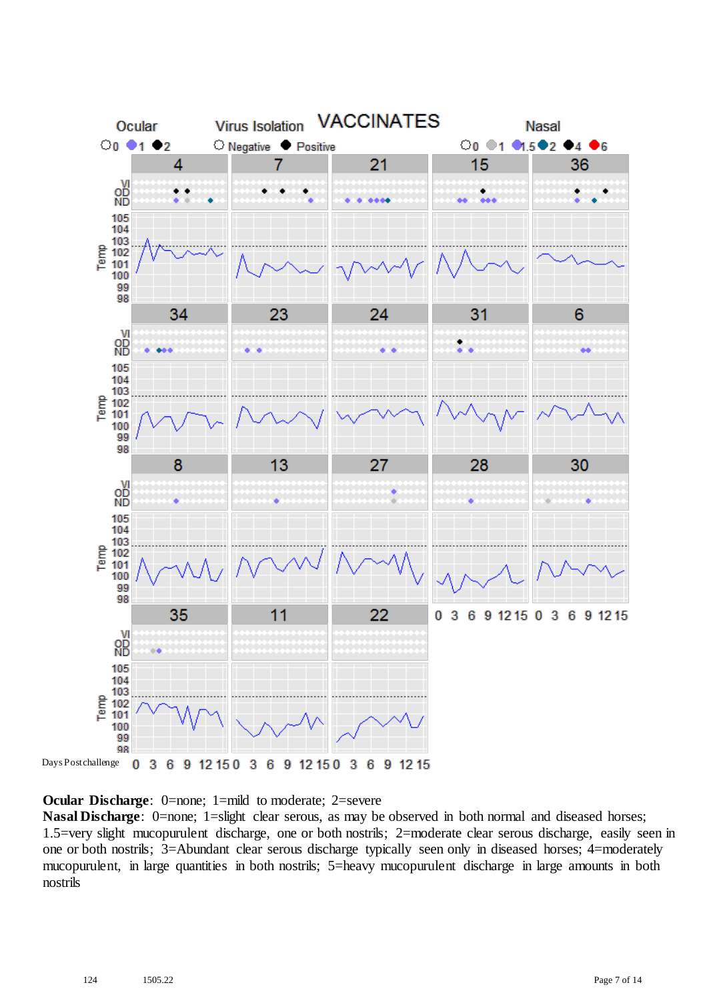

**Ocular Discharge:** 0=none; 1=mild to moderate; 2=severe

**Nasal Discharge**: 0=none; 1=slight clear serous, as may be observed in both normal and diseased horses; 1.5=very slight mucopurulent discharge, one or both nostrils; 2=moderate clear serous discharge, easily seen in one or both nostrils; 3=Abundant clear serous discharge typically seen only in diseased horses; 4=moderately mucopurulent, in large quantities in both nostrils; 5=heavy mucopurulent discharge in large amounts in both nostrils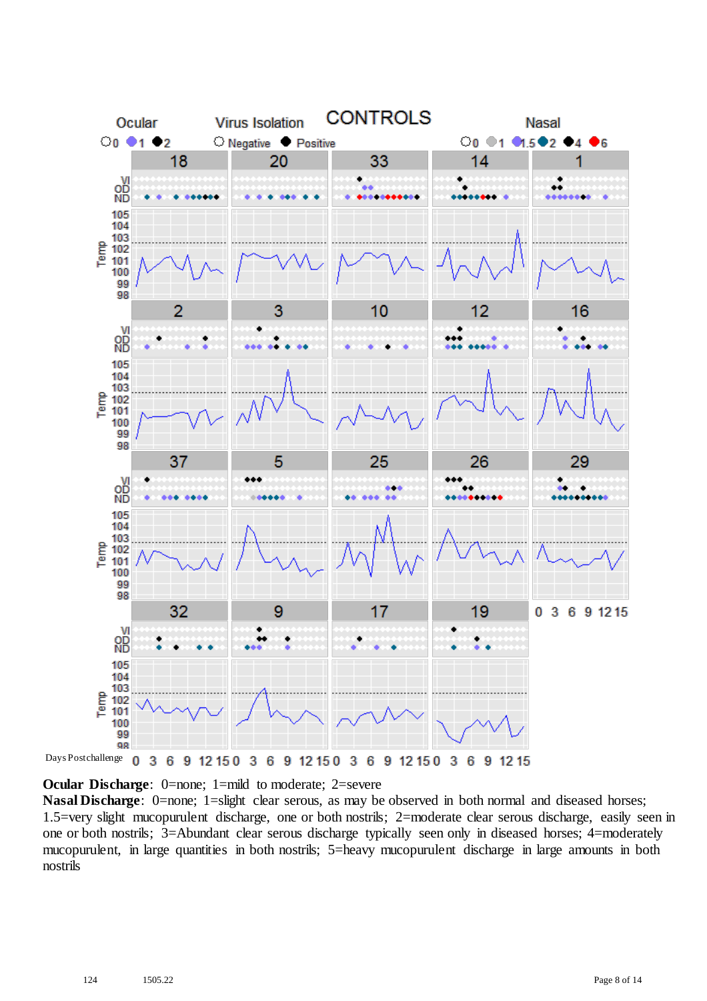

**Ocular Discharge:** 0=none; 1=mild to moderate; 2=severe

**Nasal Discharge**: 0=none; 1=slight clear serous, as may be observed in both normal and diseased horses; 1.5=very slight mucopurulent discharge, one or both nostrils; 2=moderate clear serous discharge, easily seen in one or both nostrils; 3=Abundant clear serous discharge typically seen only in diseased horses; 4=moderately mucopurulent, in large quantities in both nostrils; 5=heavy mucopurulent discharge in large amounts in both nostrils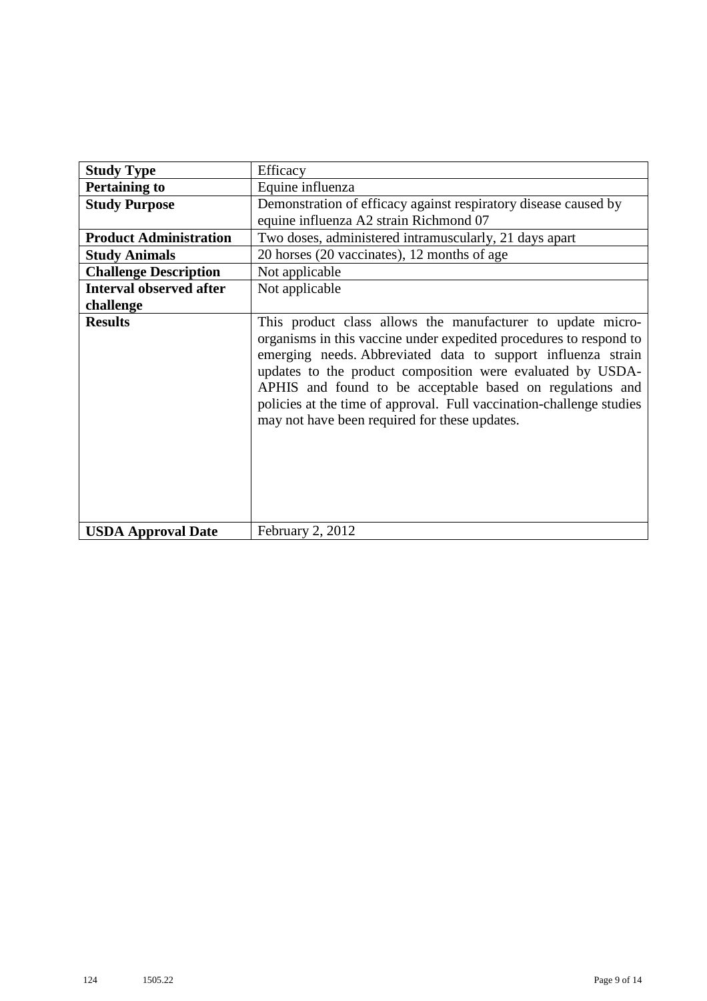| <b>Study Type</b>              | Efficacy                                                                                                                                                                                                                                                                                                                                                                                                                                              |
|--------------------------------|-------------------------------------------------------------------------------------------------------------------------------------------------------------------------------------------------------------------------------------------------------------------------------------------------------------------------------------------------------------------------------------------------------------------------------------------------------|
| <b>Pertaining to</b>           | Equine influenza                                                                                                                                                                                                                                                                                                                                                                                                                                      |
| <b>Study Purpose</b>           | Demonstration of efficacy against respiratory disease caused by<br>equine influenza A2 strain Richmond 07                                                                                                                                                                                                                                                                                                                                             |
| <b>Product Administration</b>  | Two doses, administered intramuscularly, 21 days apart                                                                                                                                                                                                                                                                                                                                                                                                |
| <b>Study Animals</b>           | 20 horses (20 vaccinates), 12 months of age                                                                                                                                                                                                                                                                                                                                                                                                           |
| <b>Challenge Description</b>   | Not applicable                                                                                                                                                                                                                                                                                                                                                                                                                                        |
| <b>Interval observed after</b> | Not applicable                                                                                                                                                                                                                                                                                                                                                                                                                                        |
| challenge                      |                                                                                                                                                                                                                                                                                                                                                                                                                                                       |
| <b>Results</b>                 | This product class allows the manufacturer to update micro-<br>organisms in this vaccine under expedited procedures to respond to<br>emerging needs. Abbreviated data to support influenza strain<br>updates to the product composition were evaluated by USDA-<br>APHIS and found to be acceptable based on regulations and<br>policies at the time of approval. Full vaccination-challenge studies<br>may not have been required for these updates. |
| <b>USDA Approval Date</b>      | February 2, 2012                                                                                                                                                                                                                                                                                                                                                                                                                                      |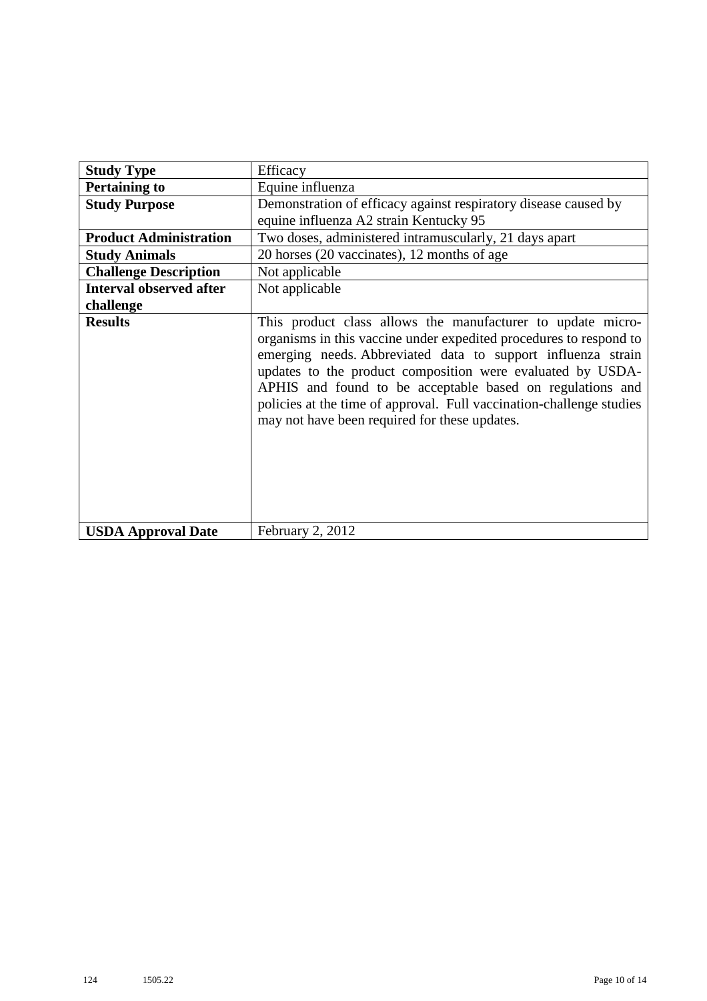| <b>Study Type</b>              | Efficacy                                                                                                                                                                                                                                                                                                                                                                                                                                              |
|--------------------------------|-------------------------------------------------------------------------------------------------------------------------------------------------------------------------------------------------------------------------------------------------------------------------------------------------------------------------------------------------------------------------------------------------------------------------------------------------------|
| <b>Pertaining to</b>           | Equine influenza                                                                                                                                                                                                                                                                                                                                                                                                                                      |
| <b>Study Purpose</b>           | Demonstration of efficacy against respiratory disease caused by                                                                                                                                                                                                                                                                                                                                                                                       |
|                                | equine influenza A2 strain Kentucky 95                                                                                                                                                                                                                                                                                                                                                                                                                |
| <b>Product Administration</b>  | Two doses, administered intramuscularly, 21 days apart                                                                                                                                                                                                                                                                                                                                                                                                |
| <b>Study Animals</b>           | 20 horses (20 vaccinates), 12 months of age                                                                                                                                                                                                                                                                                                                                                                                                           |
| <b>Challenge Description</b>   | Not applicable                                                                                                                                                                                                                                                                                                                                                                                                                                        |
| <b>Interval observed after</b> | Not applicable                                                                                                                                                                                                                                                                                                                                                                                                                                        |
| challenge                      |                                                                                                                                                                                                                                                                                                                                                                                                                                                       |
| <b>Results</b>                 | This product class allows the manufacturer to update micro-<br>organisms in this vaccine under expedited procedures to respond to<br>emerging needs. Abbreviated data to support influenza strain<br>updates to the product composition were evaluated by USDA-<br>APHIS and found to be acceptable based on regulations and<br>policies at the time of approval. Full vaccination-challenge studies<br>may not have been required for these updates. |
| <b>USDA Approval Date</b>      | February 2, 2012                                                                                                                                                                                                                                                                                                                                                                                                                                      |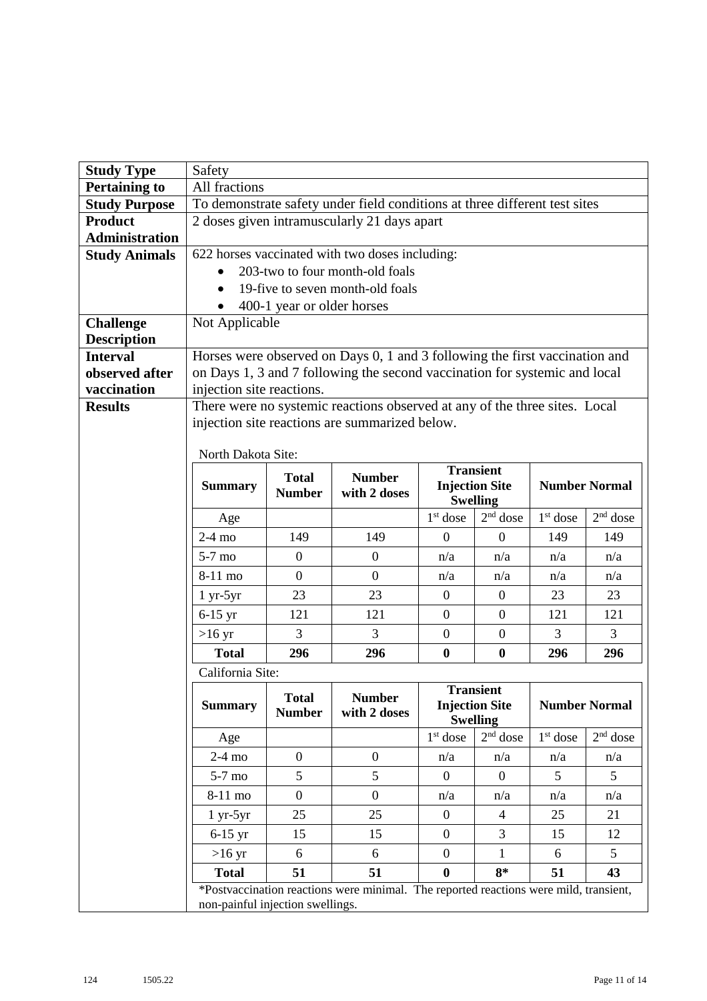| <b>Study Type</b>                      | Safety                                      |                            |                                                                                       |                  |                               |            |                      |  |  |  |  |
|----------------------------------------|---------------------------------------------|----------------------------|---------------------------------------------------------------------------------------|------------------|-------------------------------|------------|----------------------|--|--|--|--|
| <b>Pertaining to</b>                   | All fractions                               |                            |                                                                                       |                  |                               |            |                      |  |  |  |  |
| <b>Study Purpose</b>                   |                                             |                            | To demonstrate safety under field conditions at three different test sites            |                  |                               |            |                      |  |  |  |  |
| <b>Product</b>                         | 2 doses given intramuscularly 21 days apart |                            |                                                                                       |                  |                               |            |                      |  |  |  |  |
| <b>Administration</b>                  |                                             |                            |                                                                                       |                  |                               |            |                      |  |  |  |  |
| <b>Study Animals</b>                   |                                             |                            | 622 horses vaccinated with two doses including:                                       |                  |                               |            |                      |  |  |  |  |
|                                        |                                             |                            | 203-two to four month-old foals                                                       |                  |                               |            |                      |  |  |  |  |
|                                        |                                             |                            | 19-five to seven month-old foals                                                      |                  |                               |            |                      |  |  |  |  |
|                                        |                                             | 400-1 year or older horses |                                                                                       |                  |                               |            |                      |  |  |  |  |
| <b>Challenge</b><br><b>Description</b> | Not Applicable                              |                            |                                                                                       |                  |                               |            |                      |  |  |  |  |
| <b>Interval</b>                        |                                             |                            | Horses were observed on Days 0, 1 and 3 following the first vaccination and           |                  |                               |            |                      |  |  |  |  |
| observed after                         |                                             |                            | on Days 1, 3 and 7 following the second vaccination for systemic and local            |                  |                               |            |                      |  |  |  |  |
| vaccination                            | injection site reactions.                   |                            |                                                                                       |                  |                               |            |                      |  |  |  |  |
| <b>Results</b>                         |                                             |                            | There were no systemic reactions observed at any of the three sites. Local            |                  |                               |            |                      |  |  |  |  |
|                                        |                                             |                            | injection site reactions are summarized below.                                        |                  |                               |            |                      |  |  |  |  |
|                                        |                                             |                            |                                                                                       |                  |                               |            |                      |  |  |  |  |
|                                        | North Dakota Site:                          |                            |                                                                                       |                  | <b>Transient</b>              |            |                      |  |  |  |  |
|                                        | <b>Summary</b>                              | <b>Total</b>               | <b>Number</b>                                                                         |                  | <b>Injection Site</b>         |            | <b>Number Normal</b> |  |  |  |  |
|                                        |                                             | <b>Number</b>              | with 2 doses                                                                          |                  | <b>Swelling</b>               |            |                      |  |  |  |  |
|                                        | Age                                         |                            |                                                                                       | $1st$ dose       | $2nd$ dose                    | $1st$ dose | $2nd$ dose           |  |  |  |  |
|                                        | $2-4$ mo                                    | 149                        | 149                                                                                   | $\theta$         | $\mathbf{0}$                  | 149        | 149                  |  |  |  |  |
|                                        | $5-7$ mo                                    | $\boldsymbol{0}$           | $\overline{0}$                                                                        | n/a              | n/a                           | n/a        | n/a                  |  |  |  |  |
|                                        | 8-11 mo                                     | $\overline{0}$             | $\overline{0}$                                                                        | n/a              | n/a                           | n/a        | n/a                  |  |  |  |  |
|                                        | $1 yr-5yr$                                  | 23                         | 23                                                                                    | $\overline{0}$   | $\mathbf{0}$                  | 23         | 23                   |  |  |  |  |
|                                        | $6-15$ yr                                   | 121                        | 121                                                                                   | $\overline{0}$   | $\mathbf{0}$                  | 121        | 121                  |  |  |  |  |
|                                        | $>16 \text{ yr}$                            | 3                          | 3                                                                                     | $\boldsymbol{0}$ | $\mathbf{0}$                  | 3          | 3                    |  |  |  |  |
|                                        | <b>Total</b>                                | 296                        | 296                                                                                   | $\bf{0}$         | $\boldsymbol{0}$              | 296        | 296                  |  |  |  |  |
|                                        | California Site:                            |                            |                                                                                       |                  |                               |            |                      |  |  |  |  |
|                                        |                                             | <b>Total</b>               | <b>Number</b>                                                                         |                  | <b>Transient</b>              |            |                      |  |  |  |  |
|                                        | <b>Summary</b>                              | <b>Number</b>              | with 2 doses                                                                          |                  | <b>Injection Site</b>         |            | <b>Number Normal</b> |  |  |  |  |
|                                        | Age                                         |                            |                                                                                       | $1st$ dose       | <b>Swelling</b><br>$2nd$ dose | $1st$ dose | $2nd$ dose           |  |  |  |  |
|                                        | $2-4$ mo                                    | $\overline{0}$             | $\boldsymbol{0}$                                                                      | n/a              | n/a                           | n/a        | n/a                  |  |  |  |  |
|                                        | $5-7$ mo                                    | 5                          | 5                                                                                     | $\Omega$         | $\theta$                      | 5          | 5                    |  |  |  |  |
|                                        | $8-11$ mo                                   | $\overline{0}$             | $\boldsymbol{0}$                                                                      | n/a              | n/a                           | n/a        | n/a                  |  |  |  |  |
|                                        | $1 yr-5yr$                                  | 25                         | 25                                                                                    | $\boldsymbol{0}$ | $\overline{4}$                | 25         | 21                   |  |  |  |  |
|                                        | $6-15$ yr                                   | 15                         | 15                                                                                    | $\boldsymbol{0}$ | 3                             | 15         | 12                   |  |  |  |  |
|                                        | $>16$ yr                                    | 6                          | 6                                                                                     | $\overline{0}$   | 1                             | 6          | 5                    |  |  |  |  |
|                                        | <b>Total</b>                                | 51                         | 51                                                                                    | $\bf{0}$         | $8*$                          | 51         | 43                   |  |  |  |  |
|                                        |                                             |                            | *Postvaccination reactions were minimal. The reported reactions were mild, transient, |                  |                               |            |                      |  |  |  |  |
|                                        | non-painful injection swellings.            |                            |                                                                                       |                  |                               |            |                      |  |  |  |  |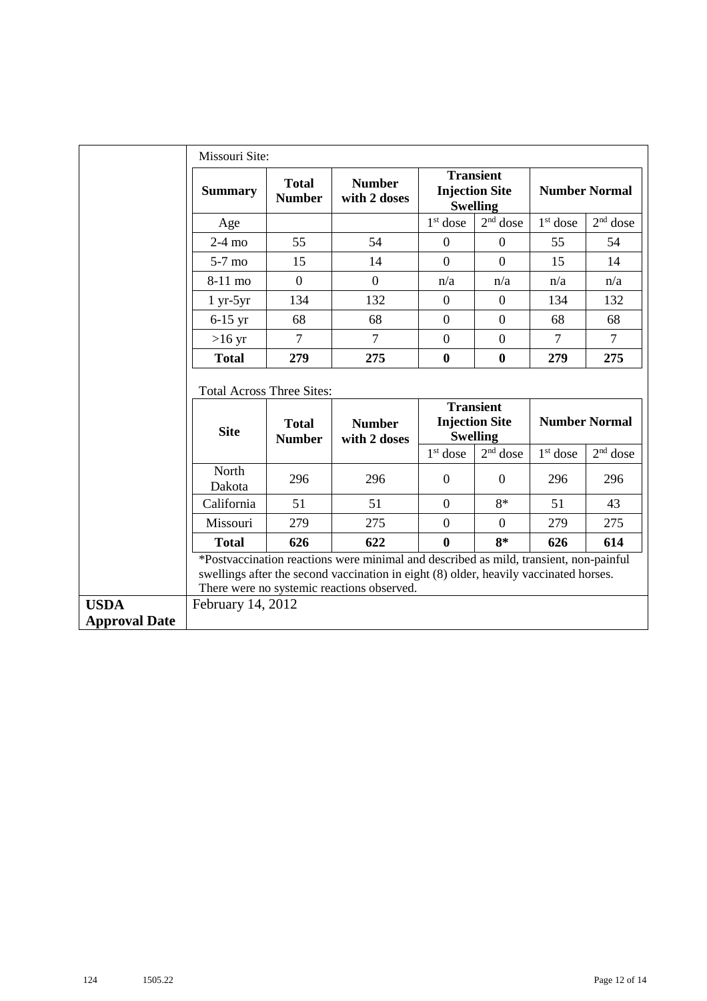|                                     | Missouri Site:                                                                                                                                                           |                               |                                                                                                                                                                                                                              |                |                                                              |                |                      |  |  |
|-------------------------------------|--------------------------------------------------------------------------------------------------------------------------------------------------------------------------|-------------------------------|------------------------------------------------------------------------------------------------------------------------------------------------------------------------------------------------------------------------------|----------------|--------------------------------------------------------------|----------------|----------------------|--|--|
|                                     | <b>Summary</b>                                                                                                                                                           | <b>Total</b><br><b>Number</b> | <b>Number</b><br>with 2 doses                                                                                                                                                                                                |                | <b>Transient</b><br><b>Injection Site</b><br><b>Swelling</b> |                | <b>Number Normal</b> |  |  |
|                                     | Age                                                                                                                                                                      |                               |                                                                                                                                                                                                                              | $1st$ dose     | $2nd$ dose                                                   | $1st$ dose     | $2nd$ dose           |  |  |
|                                     | $2-4$ mo                                                                                                                                                                 | 55                            | 54                                                                                                                                                                                                                           | $\mathbf{0}$   | $\overline{0}$                                               | 55             | 54                   |  |  |
|                                     | $5-7$ mo                                                                                                                                                                 | 15                            | 14                                                                                                                                                                                                                           | $\overline{0}$ | $\Omega$                                                     | 15             | 14                   |  |  |
|                                     | 8-11 mo                                                                                                                                                                  | $\overline{0}$                | $\overline{0}$                                                                                                                                                                                                               | n/a            | n/a                                                          | n/a            | n/a                  |  |  |
|                                     | $1 yr-5yr$                                                                                                                                                               | 134                           | 132                                                                                                                                                                                                                          | $\mathbf{0}$   | $\mathbf{0}$                                                 | 134            | 132                  |  |  |
|                                     | $6-15$ yr                                                                                                                                                                | 68                            | 68                                                                                                                                                                                                                           | $\mathbf{0}$   | $\boldsymbol{0}$                                             | 68             | 68                   |  |  |
|                                     | $>16$ yr                                                                                                                                                                 | $\overline{7}$                | $\overline{7}$                                                                                                                                                                                                               | $\overline{0}$ | $\boldsymbol{0}$                                             | $\overline{7}$ | $\tau$               |  |  |
|                                     | <b>Total</b>                                                                                                                                                             | 279                           | 275                                                                                                                                                                                                                          | $\bf{0}$       | $\bf{0}$                                                     | 279            | 275                  |  |  |
|                                     | <b>Total Across Three Sites:</b><br><b>Transient</b><br><b>Number Normal</b><br><b>Injection Site</b><br><b>Number</b><br><b>Total</b><br><b>Site</b><br><b>Swelling</b> |                               |                                                                                                                                                                                                                              |                |                                                              |                |                      |  |  |
|                                     |                                                                                                                                                                          | <b>Number</b>                 | with 2 doses                                                                                                                                                                                                                 |                |                                                              |                |                      |  |  |
|                                     |                                                                                                                                                                          |                               |                                                                                                                                                                                                                              | $1st$ dose     | $2nd$ dose                                                   | $1st$ dose     | $2nd$ dose           |  |  |
|                                     | North<br>Dakota                                                                                                                                                          | 296                           | 296                                                                                                                                                                                                                          | $\mathbf{0}$   | $\theta$                                                     | 296            | 296                  |  |  |
|                                     | California                                                                                                                                                               | 51                            | 51                                                                                                                                                                                                                           | $\theta$       | $8*$                                                         | 51             | 43                   |  |  |
|                                     | Missouri                                                                                                                                                                 | 279                           | 275                                                                                                                                                                                                                          | $\overline{0}$ | $\Omega$                                                     | 279            | 275                  |  |  |
|                                     | <b>Total</b>                                                                                                                                                             | 626                           | 622                                                                                                                                                                                                                          | $\bf{0}$       | $8*$                                                         | 626            | 614                  |  |  |
|                                     |                                                                                                                                                                          |                               | *Postvaccination reactions were minimal and described as mild, transient, non-painful<br>swellings after the second vaccination in eight (8) older, heavily vaccinated horses.<br>There were no systemic reactions observed. |                |                                                              |                |                      |  |  |
| <b>USDA</b><br><b>Approval Date</b> | February 14, 2012                                                                                                                                                        |                               |                                                                                                                                                                                                                              |                |                                                              |                |                      |  |  |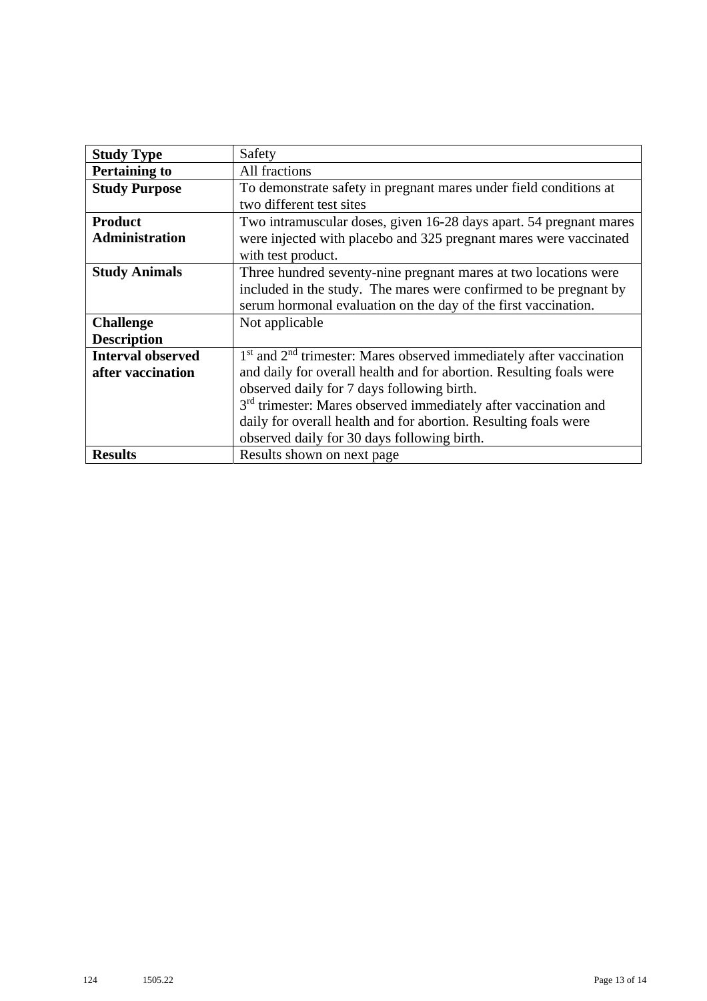| <b>Study Type</b>        | Safety                                                                      |
|--------------------------|-----------------------------------------------------------------------------|
| <b>Pertaining to</b>     | All fractions                                                               |
| <b>Study Purpose</b>     | To demonstrate safety in pregnant mares under field conditions at           |
|                          | two different test sites                                                    |
| <b>Product</b>           | Two intramuscular doses, given 16-28 days apart. 54 pregnant mares          |
| <b>Administration</b>    | were injected with placebo and 325 pregnant mares were vaccinated           |
|                          | with test product.                                                          |
| <b>Study Animals</b>     | Three hundred seventy-nine pregnant mares at two locations were             |
|                          | included in the study. The mares were confirmed to be pregnant by           |
|                          | serum hormonal evaluation on the day of the first vaccination.              |
| <b>Challenge</b>         | Not applicable                                                              |
| <b>Description</b>       |                                                                             |
| <b>Interval observed</b> | $1st$ and $2nd$ trimester: Mares observed immediately after vaccination     |
| after vaccination        | and daily for overall health and for abortion. Resulting foals were         |
|                          | observed daily for 7 days following birth.                                  |
|                          | 3 <sup>rd</sup> trimester: Mares observed immediately after vaccination and |
|                          | daily for overall health and for abortion. Resulting foals were             |
|                          | observed daily for 30 days following birth.                                 |
| <b>Results</b>           | Results shown on next page                                                  |